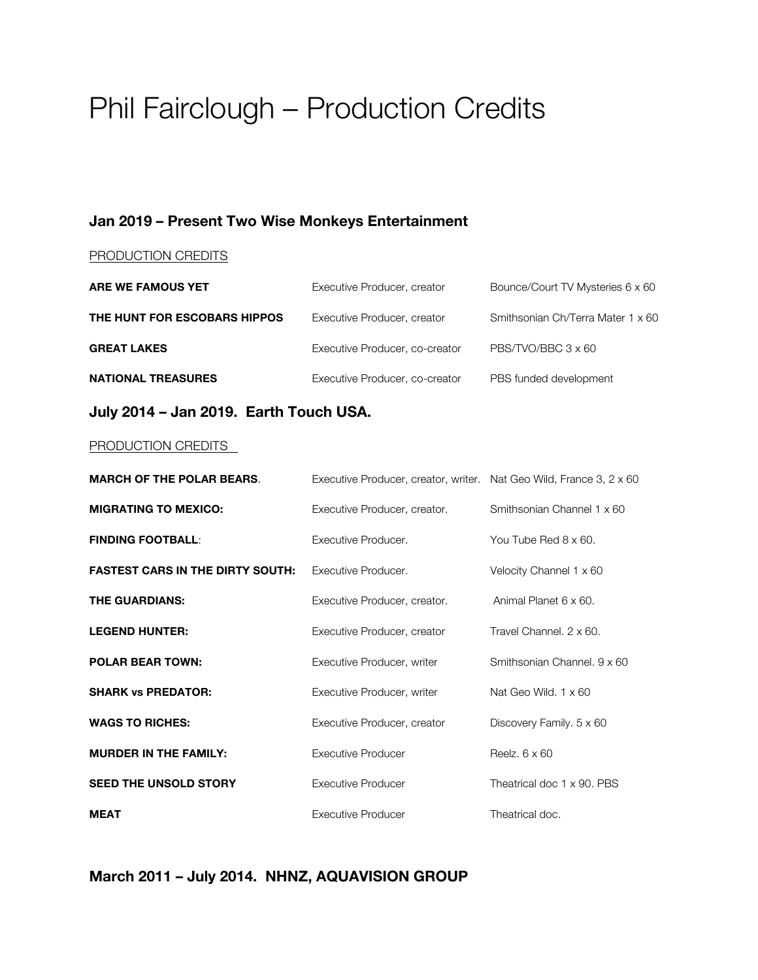# Phil Fairclough – Production Credits

#### **Jan 2019 – Present Two Wise Monkeys Entertainment**

#### PRODUCTION CREDITS

| ARE WE FAMOUS YET            | Executive Producer, creator    | Bounce/Court TV Mysteries 6 x 60  |
|------------------------------|--------------------------------|-----------------------------------|
| THE HUNT FOR ESCOBARS HIPPOS | Executive Producer, creator    | Smithsonian Ch/Terra Mater 1 x 60 |
| <b>GREAT LAKES</b>           | Executive Producer, co-creator | PBS/TVO/BBC 3 x 60                |
| <b>NATIONAL TREASURES</b>    | Executive Producer, co-creator | PBS funded development            |

#### **July 2014 – Jan 2019. Earth Touch USA.**

#### PRODUCTION CREDITS

| <b>MARCH OF THE POLAR BEARS.</b>        | Executive Producer, creator, writer. Nat Geo Wild, France 3, 2 x 60 |                                 |
|-----------------------------------------|---------------------------------------------------------------------|---------------------------------|
| <b>MIGRATING TO MEXICO:</b>             | Executive Producer, creator.                                        | Smithsonian Channel 1 x 60      |
| <b>FINDING FOOTBALL:</b>                | Executive Producer.                                                 | You Tube Red 8 x 60.            |
| <b>FASTEST CARS IN THE DIRTY SOUTH:</b> | Executive Producer.                                                 | Velocity Channel 1 x 60         |
| <b>THE GUARDIANS:</b>                   | Executive Producer, creator.                                        | Animal Planet 6 x 60.           |
| <b>LEGEND HUNTER:</b>                   | Executive Producer, creator                                         | Travel Channel, 2 x 60.         |
| <b>POLAR BEAR TOWN:</b>                 | Executive Producer, writer                                          | Smithsonian Channel, 9 x 60     |
| <b>SHARK vs PREDATOR:</b>               | Executive Producer, writer                                          | Nat Geo Wild, $1 \times 60$     |
| <b>WAGS TO RICHES:</b>                  | Executive Producer, creator                                         | Discovery Family. $5 \times 60$ |
| <b>MURDER IN THE FAMILY:</b>            | Executive Producer                                                  | Reelz, $6 \times 60$            |
| <b>SEED THE UNSOLD STORY</b>            | Executive Producer                                                  | Theatrical doc 1 x 90. PBS      |
| <b>MEAT</b>                             | Executive Producer                                                  | Theatrical doc.                 |

**March 2011 – July 2014. NHNZ, AQUAVISION GROUP**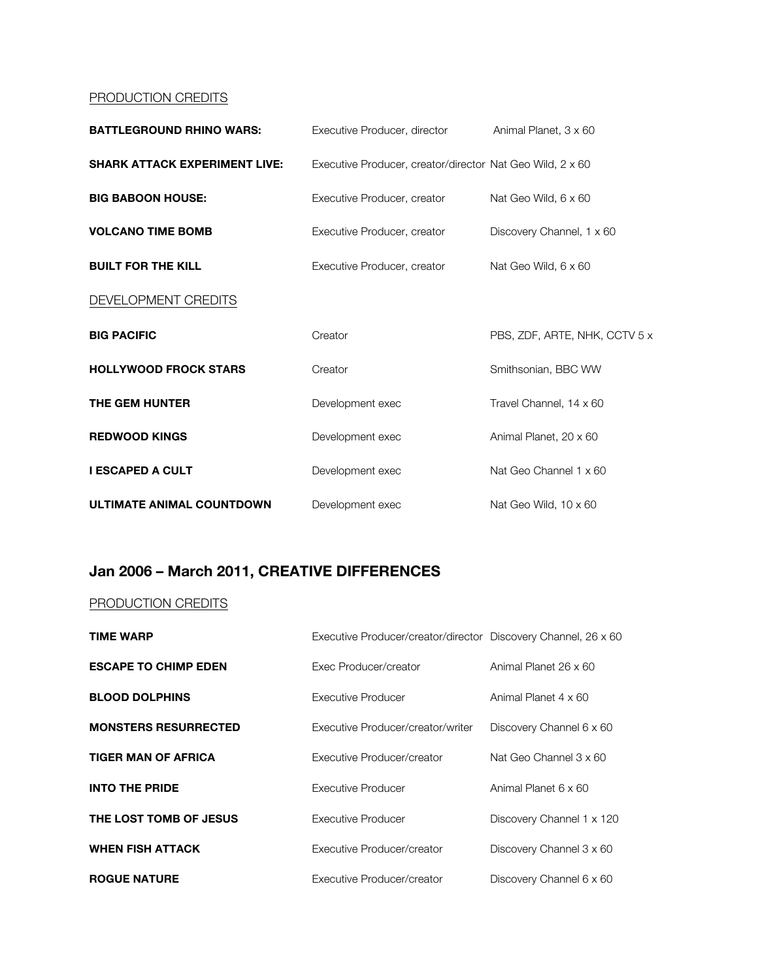### PRODUCTION CREDITS

| <b>BATTLEGROUND RHINO WARS:</b>      | Executive Producer, director                              | Animal Planet, 3 x 60         |
|--------------------------------------|-----------------------------------------------------------|-------------------------------|
| <b>SHARK ATTACK EXPERIMENT LIVE:</b> | Executive Producer, creator/director Nat Geo Wild, 2 x 60 |                               |
| <b>BIG BABOON HOUSE:</b>             | Executive Producer, creator                               | Nat Geo Wild, 6 x 60          |
| <b>VOLCANO TIME BOMB</b>             | Executive Producer, creator                               | Discovery Channel, 1 x 60     |
| <b>BUILT FOR THE KILL</b>            | Executive Producer, creator                               | Nat Geo Wild, 6 x 60          |
| DEVELOPMENT CREDITS                  |                                                           |                               |
| <b>BIG PACIFIC</b>                   | Creator                                                   | PBS, ZDF, ARTE, NHK, CCTV 5 x |
| <b>HOLLYWOOD FROCK STARS</b>         | Creator                                                   | Smithsonian, BBC WW           |
| THE GEM HUNTER                       | Development exec                                          | Travel Channel, 14 x 60       |
| <b>REDWOOD KINGS</b>                 | Development exec                                          | Animal Planet, 20 x 60        |
| <b>I ESCAPED A CULT</b>              | Development exec                                          | Nat Geo Channel 1 x 60        |
| <b>ULTIMATE ANIMAL COUNTDOWN</b>     | Development exec                                          | Nat Geo Wild, 10 x 60         |

## **Jan 2006 – March 2011, CREATIVE DIFFERENCES**

#### PRODUCTION CREDITS

| <b>TIME WARP</b>            | Executive Producer/creator/director Discovery Channel, 26 x 60 |                           |
|-----------------------------|----------------------------------------------------------------|---------------------------|
| <b>ESCAPE TO CHIMP EDEN</b> | Exec Producer/creator                                          | Animal Planet 26 x 60     |
| <b>BLOOD DOLPHINS</b>       | Executive Producer                                             | Animal Planet 4 x 60      |
| <b>MONSTERS RESURRECTED</b> | Executive Producer/creator/writer                              | Discovery Channel 6 x 60  |
| <b>TIGER MAN OF AFRICA</b>  | Executive Producer/creator                                     | Nat Geo Channel 3 x 60    |
| <b>INTO THE PRIDE</b>       | Executive Producer                                             | Animal Planet 6 x 60      |
| THE LOST TOMB OF JESUS      | Executive Producer                                             | Discovery Channel 1 x 120 |
| <b>WHEN FISH ATTACK</b>     | Executive Producer/creator                                     | Discovery Channel 3 x 60  |
| <b>ROGUE NATURE</b>         | Executive Producer/creator                                     | Discovery Channel 6 x 60  |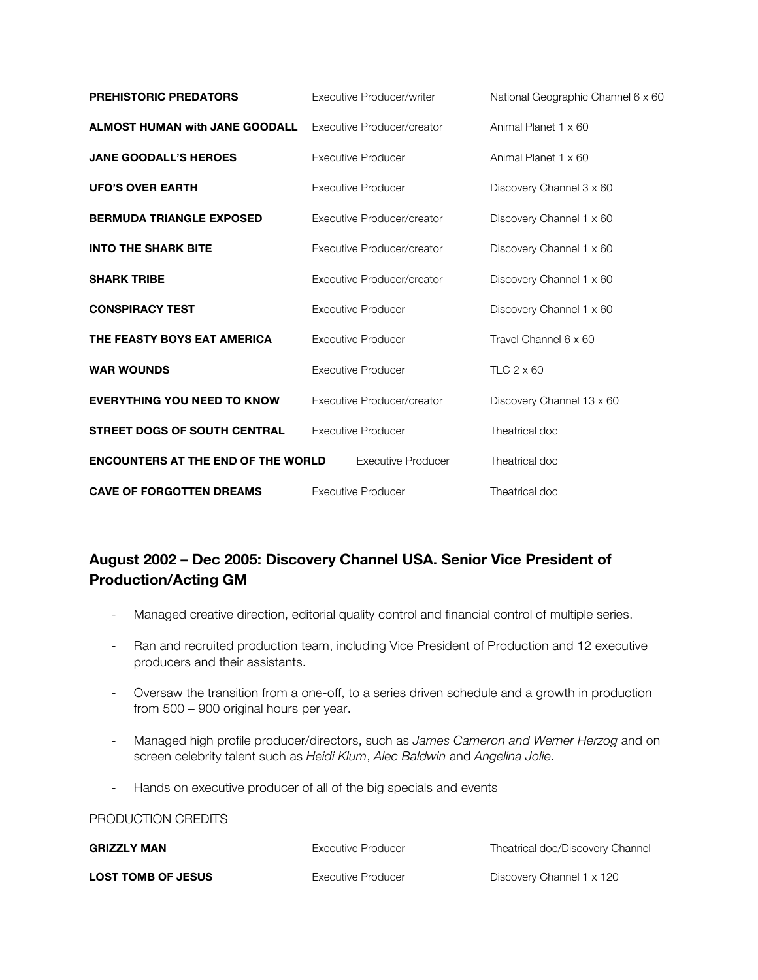| <b>PREHISTORIC PREDATORS</b>              | Executive Producer/writer  | National Geographic Channel 6 x 60 |
|-------------------------------------------|----------------------------|------------------------------------|
| <b>ALMOST HUMAN with JANE GOODALL</b>     | Executive Producer/creator | Animal Planet 1 x 60               |
| <b>JANE GOODALL'S HEROES</b>              | <b>Executive Producer</b>  | Animal Planet 1 x 60               |
| <b>UFO'S OVER EARTH</b>                   | Executive Producer         | Discovery Channel 3 x 60           |
| <b>BERMUDA TRIANGLE EXPOSED</b>           | Executive Producer/creator | Discovery Channel 1 x 60           |
| <b>INTO THE SHARK BITE</b>                | Executive Producer/creator | Discovery Channel 1 x 60           |
| <b>SHARK TRIBE</b>                        | Executive Producer/creator | Discovery Channel 1 x 60           |
| <b>CONSPIRACY TEST</b>                    | <b>Executive Producer</b>  | Discovery Channel 1 x 60           |
| THE FEASTY BOYS EAT AMERICA               | <b>Executive Producer</b>  | Travel Channel 6 x 60              |
| <b>WAR WOUNDS</b>                         | <b>Executive Producer</b>  | TLC $2 \times 60$                  |
| <b>EVERYTHING YOU NEED TO KNOW</b>        | Executive Producer/creator | Discovery Channel 13 x 60          |
| <b>STREET DOGS OF SOUTH CENTRAL</b>       | <b>Executive Producer</b>  | Theatrical doc                     |
| <b>ENCOUNTERS AT THE END OF THE WORLD</b> | <b>Executive Producer</b>  | Theatrical doc                     |
| <b>CAVE OF FORGOTTEN DREAMS</b>           | <b>Executive Producer</b>  | Theatrical doc                     |

## **August 2002 – Dec 2005: Discovery Channel USA. Senior Vice President of Production/Acting GM**

- Managed creative direction, editorial quality control and financial control of multiple series.
- Ran and recruited production team, including Vice President of Production and 12 executive producers and their assistants.
- Oversaw the transition from a one-off, to a series driven schedule and a growth in production from 500 – 900 original hours per year.
- Managed high profile producer/directors, such as *James Cameron and Werner Herzog* and on screen celebrity talent such as *Heidi Klum*, *Alec Baldwin* and *Angelina Jolie*.
- Hands on executive producer of all of the big specials and events

#### PRODUCTION CREDITS

| <b>GRIZZLY MAN</b>        | Executive Producer | Theatrical doc/Discovery Channel |
|---------------------------|--------------------|----------------------------------|
| <b>LOST TOMB OF JESUS</b> | Executive Producer | Discovery Channel 1 x 120        |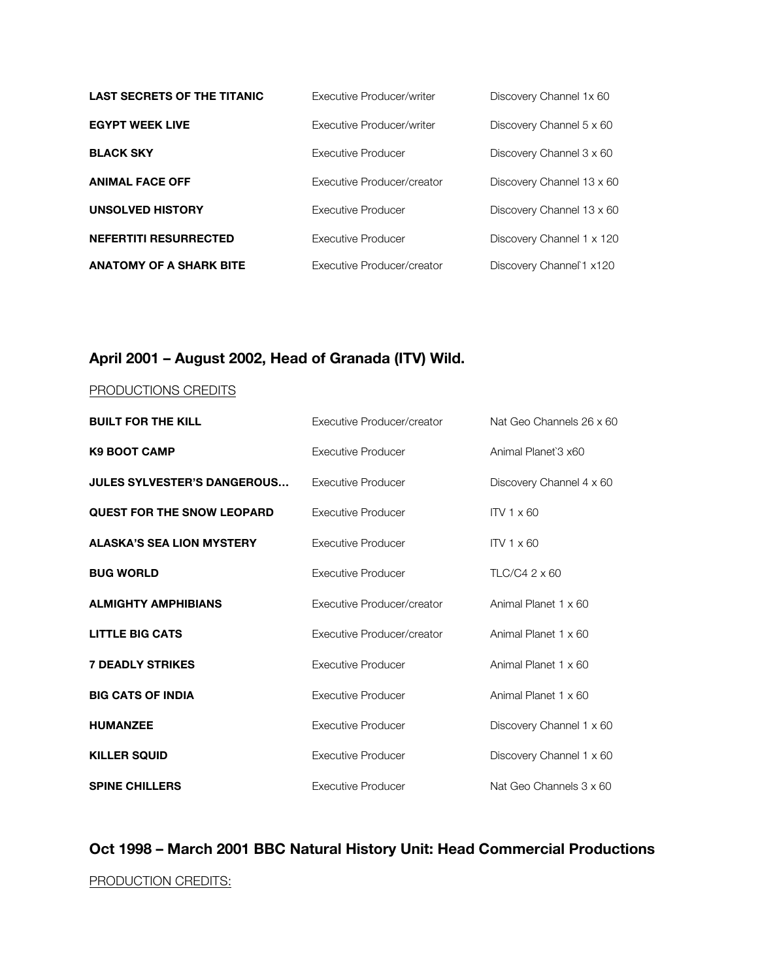| <b>LAST SECRETS OF THE TITANIC</b> | Executive Producer/writer  | Discovery Channel 1x 60   |
|------------------------------------|----------------------------|---------------------------|
| <b>EGYPT WEEK LIVE</b>             | Executive Producer/writer  | Discovery Channel 5 x 60  |
| <b>BLACK SKY</b>                   | Executive Producer         | Discovery Channel 3 x 60  |
| <b>ANIMAL FACE OFF</b>             | Executive Producer/creator | Discovery Channel 13 x 60 |
| <b>UNSOLVED HISTORY</b>            | Executive Producer         | Discovery Channel 13 x 60 |
| <b>NEFERTITI RESURRECTED</b>       | Executive Producer         | Discovery Channel 1 x 120 |
| <b>ANATOMY OF A SHARK BITE</b>     | Executive Producer/creator | Discovery Channel 1 x120  |

## **April 2001 – August 2002, Head of Granada (ITV) Wild.**

#### PRODUCTIONS CREDITS

| <b>BUILT FOR THE KILL</b>         | Executive Producer/creator | Nat Geo Channels 26 x 60 |
|-----------------------------------|----------------------------|--------------------------|
| <b>K9 BOOT CAMP</b>               | Executive Producer         | Animal Planet 3 x60      |
| JULES SYLVESTER'S DANGEROUS       | <b>Executive Producer</b>  | Discovery Channel 4 x 60 |
| <b>QUEST FOR THE SNOW LEOPARD</b> | <b>Executive Producer</b>  | $IV1 \times 60$          |
| <b>ALASKA'S SEA LION MYSTERY</b>  | Executive Producer         | $ITV1 \times 60$         |
| <b>BUG WORLD</b>                  | Executive Producer         | TLC/C4 2 x 60            |
| <b>ALMIGHTY AMPHIBIANS</b>        | Executive Producer/creator | Animal Planet 1 x 60     |
| <b>LITTLE BIG CATS</b>            | Executive Producer/creator | Animal Planet 1 x 60     |
| <b>7 DEADLY STRIKES</b>           | <b>Executive Producer</b>  | Animal Planet 1 x 60     |
| <b>BIG CATS OF INDIA</b>          | <b>Executive Producer</b>  | Animal Planet 1 x 60     |
| <b>HUMANZEE</b>                   | <b>Executive Producer</b>  | Discovery Channel 1 x 60 |
| <b>KILLER SQUID</b>               | <b>Executive Producer</b>  | Discovery Channel 1 x 60 |
| <b>SPINE CHILLERS</b>             | Executive Producer         | Nat Geo Channels 3 x 60  |

## **Oct 1998 – March 2001 BBC Natural History Unit: Head Commercial Productions** PRODUCTION CREDITS: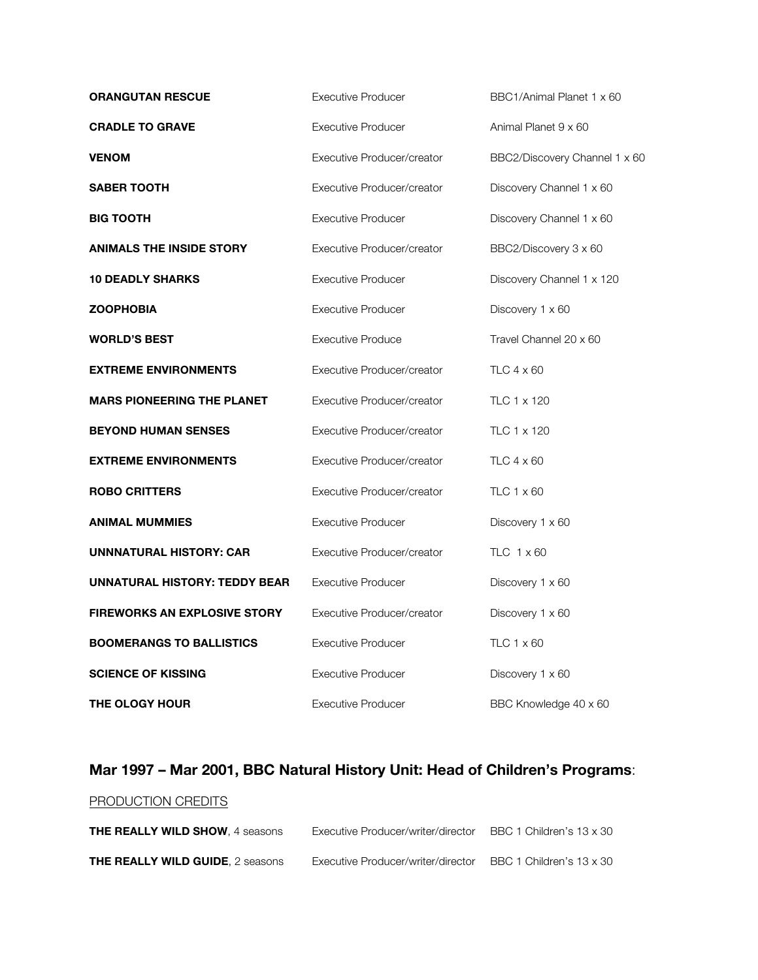| <b>ORANGUTAN RESCUE</b>              | <b>Executive Producer</b>  | BBC1/Animal Planet 1 x 60     |
|--------------------------------------|----------------------------|-------------------------------|
| <b>CRADLE TO GRAVE</b>               | <b>Executive Producer</b>  | Animal Planet 9 x 60          |
| <b>VENOM</b>                         | Executive Producer/creator | BBC2/Discovery Channel 1 x 60 |
| <b>SABER TOOTH</b>                   | Executive Producer/creator | Discovery Channel 1 x 60      |
| <b>BIG TOOTH</b>                     | <b>Executive Producer</b>  | Discovery Channel 1 x 60      |
| <b>ANIMALS THE INSIDE STORY</b>      | Executive Producer/creator | BBC2/Discovery 3 x 60         |
| <b>10 DEADLY SHARKS</b>              | <b>Executive Producer</b>  | Discovery Channel 1 x 120     |
| <b>ZOOPHOBIA</b>                     | <b>Executive Producer</b>  | Discovery 1 x 60              |
| <b>WORLD'S BEST</b>                  | <b>Executive Produce</b>   | Travel Channel 20 x 60        |
| <b>EXTREME ENVIRONMENTS</b>          | Executive Producer/creator | TLC $4 \times 60$             |
| <b>MARS PIONEERING THE PLANET</b>    | Executive Producer/creator | TLC 1 x 120                   |
| <b>BEYOND HUMAN SENSES</b>           | Executive Producer/creator | TLC 1 x 120                   |
| <b>EXTREME ENVIRONMENTS</b>          | Executive Producer/creator | TLC 4 x 60                    |
| <b>ROBO CRITTERS</b>                 | Executive Producer/creator | TLC $1 \times 60$             |
| <b>ANIMAL MUMMIES</b>                | <b>Executive Producer</b>  | Discovery 1 x 60              |
| UNNNATURAL HISTORY: CAR              | Executive Producer/creator | TLC $1 \times 60$             |
| <b>UNNATURAL HISTORY: TEDDY BEAR</b> | <b>Executive Producer</b>  | Discovery 1 x 60              |
| <b>FIREWORKS AN EXPLOSIVE STORY</b>  | Executive Producer/creator | Discovery 1 x 60              |
| <b>BOOMERANGS TO BALLISTICS</b>      | <b>Executive Producer</b>  | TLC $1 \times 60$             |
| <b>SCIENCE OF KISSING</b>            | <b>Executive Producer</b>  | Discovery 1 x 60              |
| <b>THE OLOGY HOUR</b>                | <b>Executive Producer</b>  | BBC Knowledge 40 x 60         |

## **Mar 1997 – Mar 2001, BBC Natural History Unit: Head of Children's Programs**:

### PRODUCTION CREDITS

| <b>THE REALLY WILD SHOW.</b> 4 seasons  | Executive Producer/writer/director | BBC 1 Children's 13 x 30 |
|-----------------------------------------|------------------------------------|--------------------------|
| <b>THE REALLY WILD GUIDE.</b> 2 seasons | Executive Producer/writer/director | BBC 1 Children's 13 x 30 |